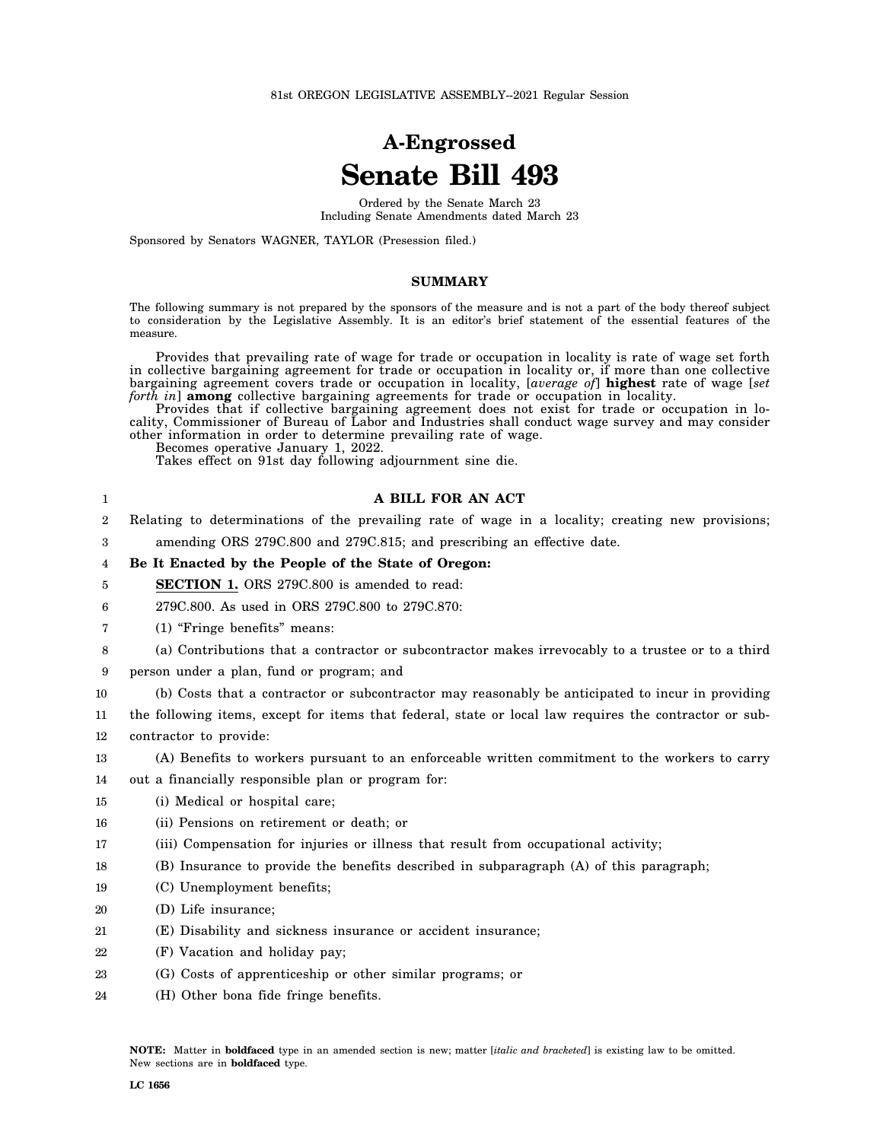# **A-Engrossed Senate Bill 493**

Ordered by the Senate March 23 Including Senate Amendments dated March 23

Sponsored by Senators WAGNER, TAYLOR (Presession filed.)

#### **SUMMARY**

The following summary is not prepared by the sponsors of the measure and is not a part of the body thereof subject to consideration by the Legislative Assembly. It is an editor's brief statement of the essential features of the measure.

Provides that prevailing rate of wage for trade or occupation in locality is rate of wage set forth in collective bargaining agreement for trade or occupation in locality or, if more than one collective bargaining agreement covers trade or occupation in locality, [*average of*] **highest** rate of wage [*set forth in*] **among** collective bargaining agreements for trade or occupation in locality.

Provides that if collective bargaining agreement does not exist for trade or occupation in locality, Commissioner of Bureau of Labor and Industries shall conduct wage survey and may consider other information in order to determine prevailing rate of wage.

Becomes operative January 1, 2022.

Takes effect on 91st day following adjournment sine die.

| 1  | A BILL FOR AN ACT                                                                                      |
|----|--------------------------------------------------------------------------------------------------------|
| 2  | Relating to determinations of the prevailing rate of wage in a locality; creating new provisions;      |
| 3  | amending ORS 279C.800 and 279C.815; and prescribing an effective date.                                 |
| 4  | Be It Enacted by the People of the State of Oregon:                                                    |
| 5  | <b>SECTION 1.</b> ORS 279C.800 is amended to read:                                                     |
| 6  | 279C.800. As used in ORS 279C.800 to 279C.870:                                                         |
| 7  | (1) "Fringe benefits" means:                                                                           |
| 8  | (a) Contributions that a contractor or subcontractor makes irrevocably to a trustee or to a third      |
| 9  | person under a plan, fund or program; and                                                              |
| 10 | (b) Costs that a contractor or subcontractor may reasonably be anticipated to incur in providing       |
| 11 | the following items, except for items that federal, state or local law requires the contractor or sub- |
| 12 | contractor to provide:                                                                                 |
| 13 | (A) Benefits to workers pursuant to an enforceable written commitment to the workers to carry          |
| 14 | out a financially responsible plan or program for:                                                     |
| 15 | (i) Medical or hospital care;                                                                          |
| 16 | (ii) Pensions on retirement or death; or                                                               |
| 17 | (iii) Compensation for injuries or illness that result from occupational activity;                     |
| 18 | (B) Insurance to provide the benefits described in subparagraph (A) of this paragraph;                 |
| 19 | (C) Unemployment benefits;                                                                             |
| 20 | (D) Life insurance;                                                                                    |
| 21 | (E) Disability and sickness insurance or accident insurance;                                           |
| 22 | (F) Vacation and holiday pay;                                                                          |
| 23 | (G) Costs of apprenticeship or other similar programs; or                                              |
| 24 | (H) Other bona fide fringe benefits.                                                                   |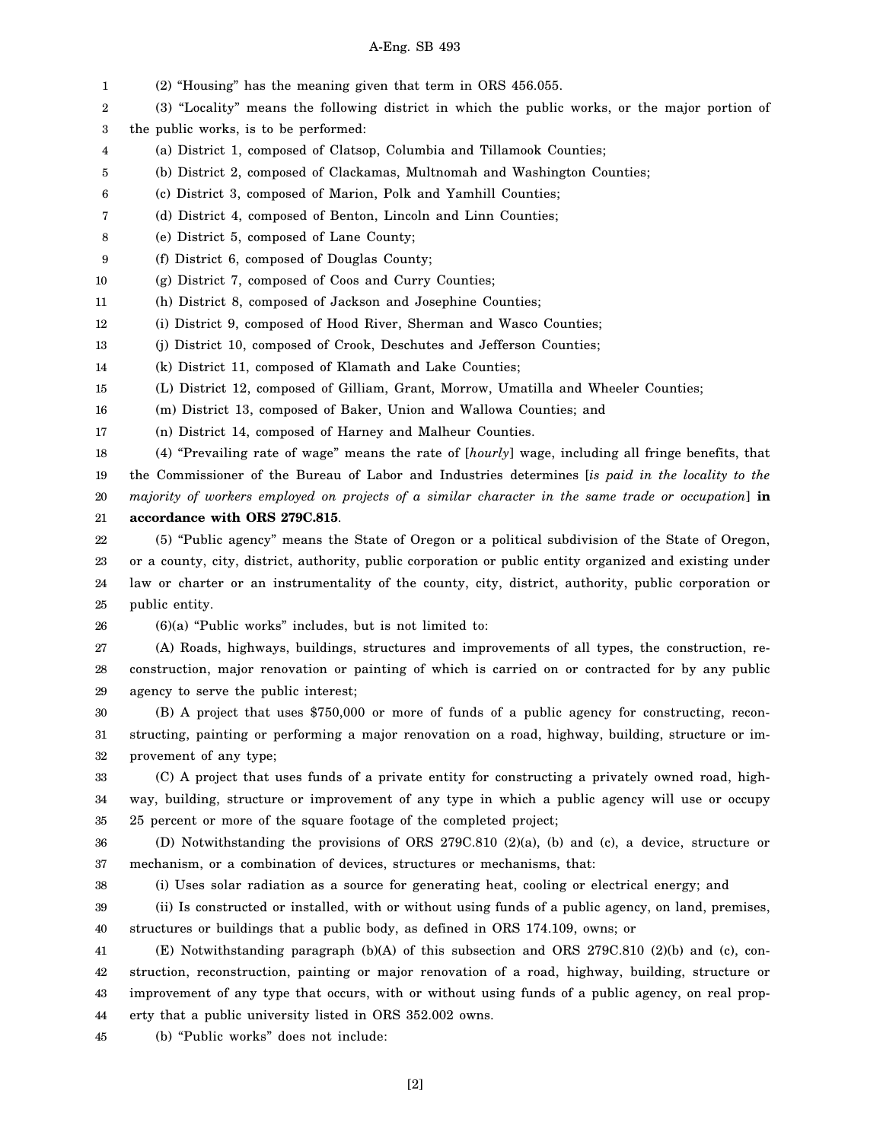### A-Eng. SB 493

1 2 3 4 5 6 7 8 9 10 11 12 13 14 15 16 17 18 19 20 21 22 23 24 25 26 27 28 29 30 31 32 33 34 35 36 37 38 39 40 41 42 43 44 45 (2) "Housing" has the meaning given that term in ORS 456.055. (3) "Locality" means the following district in which the public works, or the major portion of the public works, is to be performed: (a) District 1, composed of Clatsop, Columbia and Tillamook Counties; (b) District 2, composed of Clackamas, Multnomah and Washington Counties; (c) District 3, composed of Marion, Polk and Yamhill Counties; (d) District 4, composed of Benton, Lincoln and Linn Counties; (e) District 5, composed of Lane County; (f) District 6, composed of Douglas County; (g) District 7, composed of Coos and Curry Counties; (h) District 8, composed of Jackson and Josephine Counties; (i) District 9, composed of Hood River, Sherman and Wasco Counties; (j) District 10, composed of Crook, Deschutes and Jefferson Counties; (k) District 11, composed of Klamath and Lake Counties; (L) District 12, composed of Gilliam, Grant, Morrow, Umatilla and Wheeler Counties; (m) District 13, composed of Baker, Union and Wallowa Counties; and (n) District 14, composed of Harney and Malheur Counties. (4) "Prevailing rate of wage" means the rate of [*hourly*] wage, including all fringe benefits, that the Commissioner of the Bureau of Labor and Industries determines [*is paid in the locality to the majority of workers employed on projects of a similar character in the same trade or occupation*] **in accordance with ORS 279C.815**. (5) "Public agency" means the State of Oregon or a political subdivision of the State of Oregon, or a county, city, district, authority, public corporation or public entity organized and existing under law or charter or an instrumentality of the county, city, district, authority, public corporation or public entity. (6)(a) "Public works" includes, but is not limited to: (A) Roads, highways, buildings, structures and improvements of all types, the construction, reconstruction, major renovation or painting of which is carried on or contracted for by any public agency to serve the public interest; (B) A project that uses \$750,000 or more of funds of a public agency for constructing, reconstructing, painting or performing a major renovation on a road, highway, building, structure or improvement of any type; (C) A project that uses funds of a private entity for constructing a privately owned road, highway, building, structure or improvement of any type in which a public agency will use or occupy 25 percent or more of the square footage of the completed project; (D) Notwithstanding the provisions of ORS 279C.810 (2)(a), (b) and (c), a device, structure or mechanism, or a combination of devices, structures or mechanisms, that: (i) Uses solar radiation as a source for generating heat, cooling or electrical energy; and (ii) Is constructed or installed, with or without using funds of a public agency, on land, premises, structures or buildings that a public body, as defined in ORS 174.109, owns; or (E) Notwithstanding paragraph (b)(A) of this subsection and ORS 279C.810 (2)(b) and (c), construction, reconstruction, painting or major renovation of a road, highway, building, structure or improvement of any type that occurs, with or without using funds of a public agency, on real property that a public university listed in ORS 352.002 owns. (b) "Public works" does not include: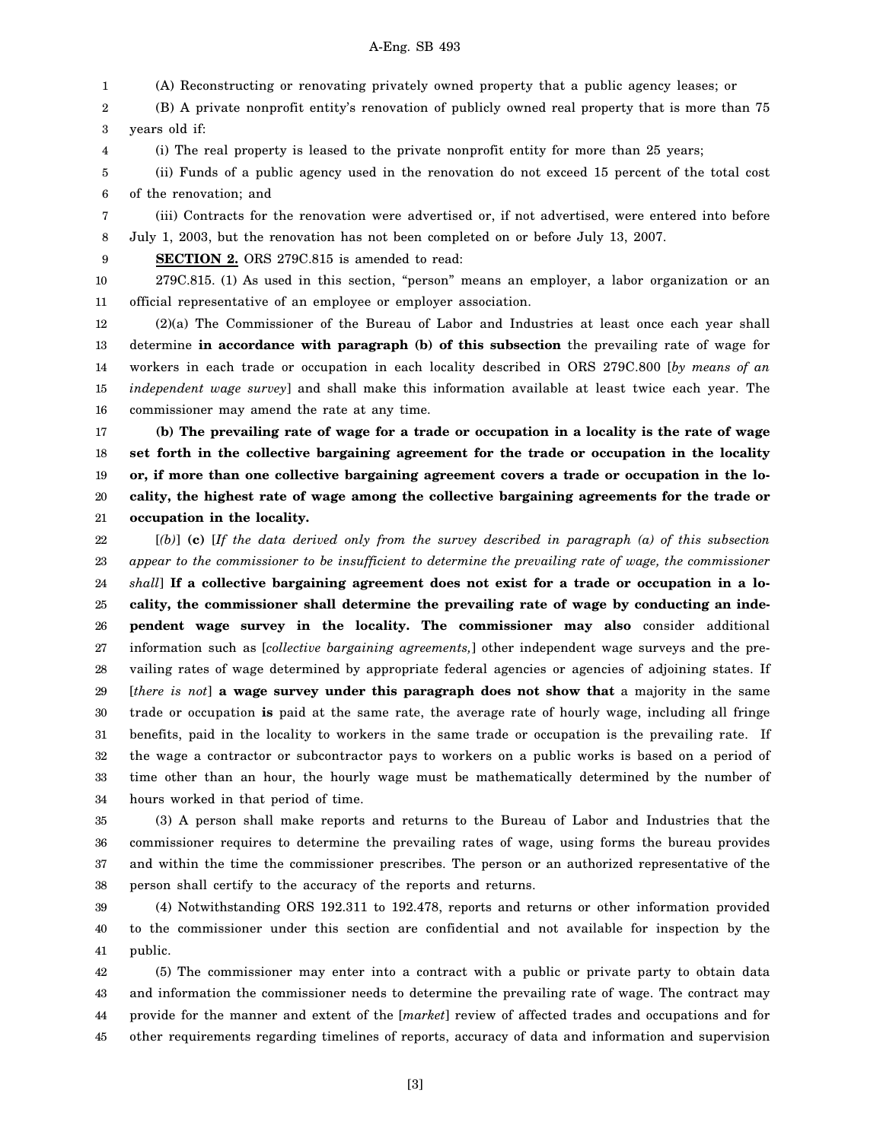### A-Eng. SB 493

1 (A) Reconstructing or renovating privately owned property that a public agency leases; or

2 3 (B) A private nonprofit entity's renovation of publicly owned real property that is more than 75 years old if:

4 (i) The real property is leased to the private nonprofit entity for more than 25 years;

5 6 (ii) Funds of a public agency used in the renovation do not exceed 15 percent of the total cost of the renovation; and

7 8 (iii) Contracts for the renovation were advertised or, if not advertised, were entered into before July 1, 2003, but the renovation has not been completed on or before July 13, 2007.

9 **SECTION 2.** ORS 279C.815 is amended to read:

10

11 279C.815. (1) As used in this section, "person" means an employer, a labor organization or an official representative of an employee or employer association.

12 13 14 15 16 (2)(a) The Commissioner of the Bureau of Labor and Industries at least once each year shall determine **in accordance with paragraph (b) of this subsection** the prevailing rate of wage for workers in each trade or occupation in each locality described in ORS 279C.800 [*by means of an independent wage survey*] and shall make this information available at least twice each year. The commissioner may amend the rate at any time.

17 18 19 20 21 **(b) The prevailing rate of wage for a trade or occupation in a locality is the rate of wage set forth in the collective bargaining agreement for the trade or occupation in the locality or, if more than one collective bargaining agreement covers a trade or occupation in the locality, the highest rate of wage among the collective bargaining agreements for the trade or occupation in the locality.**

22 23 24 25 26 27 28 29 30 31 32 33 34 [*(b)*] **(c)** [*If the data derived only from the survey described in paragraph (a) of this subsection appear to the commissioner to be insufficient to determine the prevailing rate of wage, the commissioner shall*] **If a collective bargaining agreement does not exist for a trade or occupation in a locality, the commissioner shall determine the prevailing rate of wage by conducting an independent wage survey in the locality. The commissioner may also** consider additional information such as [*collective bargaining agreements,*] other independent wage surveys and the prevailing rates of wage determined by appropriate federal agencies or agencies of adjoining states. If [*there is not*] **a wage survey under this paragraph does not show that** a majority in the same trade or occupation **is** paid at the same rate, the average rate of hourly wage, including all fringe benefits, paid in the locality to workers in the same trade or occupation is the prevailing rate. If the wage a contractor or subcontractor pays to workers on a public works is based on a period of time other than an hour, the hourly wage must be mathematically determined by the number of hours worked in that period of time.

35 36 37 38 (3) A person shall make reports and returns to the Bureau of Labor and Industries that the commissioner requires to determine the prevailing rates of wage, using forms the bureau provides and within the time the commissioner prescribes. The person or an authorized representative of the person shall certify to the accuracy of the reports and returns.

39 40 41 (4) Notwithstanding ORS 192.311 to 192.478, reports and returns or other information provided to the commissioner under this section are confidential and not available for inspection by the public.

42 43 44 45 (5) The commissioner may enter into a contract with a public or private party to obtain data and information the commissioner needs to determine the prevailing rate of wage. The contract may provide for the manner and extent of the [*market*] review of affected trades and occupations and for other requirements regarding timelines of reports, accuracy of data and information and supervision